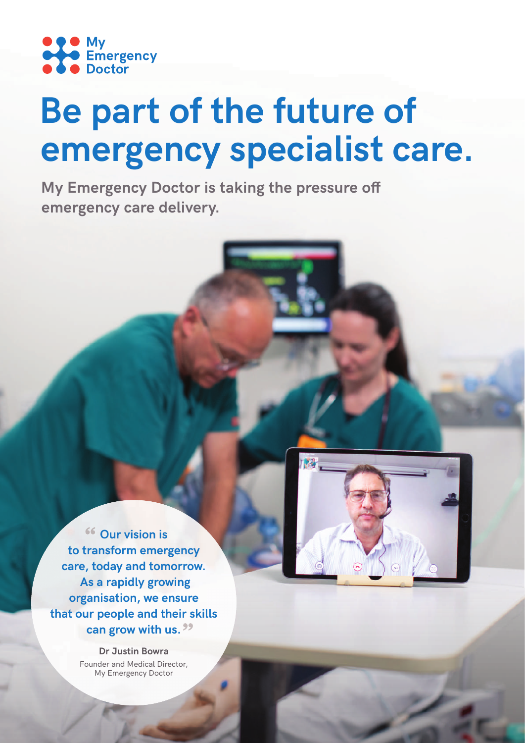

# **Be part of the future of emergency specialist care.**

**My Emergency Doctor is taking the pressure off emergency care delivery.**

**Our vision is to transform emergency care, today and tomorrow. As a rapidly growing organisation, we ensure that our people and their skills can grow with us.**

> **Dr Justin Bowra** Founder and Medical Director, My Emergency Doctor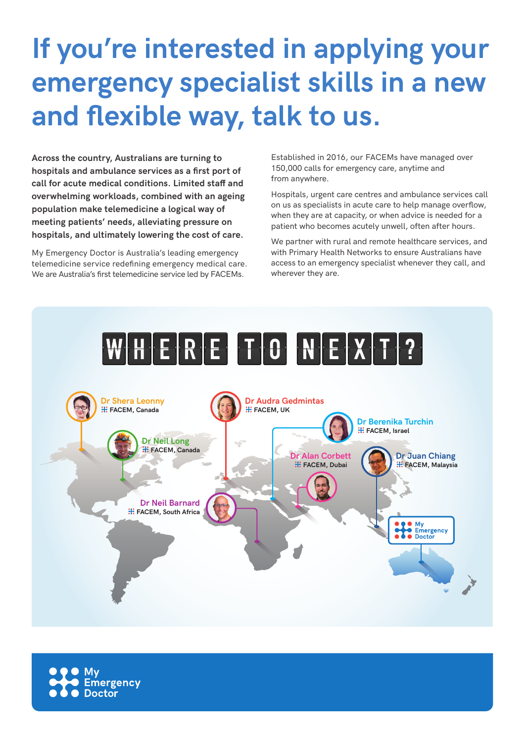## **If you're interested in applying your emergency specialist skills in a new**  and flexible way, talk to us.

**Across the country, Australians are turning to**  hospitals and ambulance services as a first port of **call for acute medical conditions. Limited staff and overwhelming workloads, combined with an ageing population make telemedicine a logical way of meeting patients' needs, alleviating pressure on hospitals, and ultimately lowering the cost of care.**

My Emergency Doctor is Australia's leading emergency telemedicine service redefining emergency medical care. We are Australia's first telemedicine service led by FACEMs.

Established in 2016, our FACEMs have managed over 150,000 calls for emergency care, anytime and from anywhere.

Hospitals, urgent care centres and ambulance services call on us as specialists in acute care to help manage overflow, when they are at capacity, or when advice is needed for a patient who becomes acutely unwell, often after hours.

We partner with rural and remote healthcare services, and with Primary Health Networks to ensure Australians have access to an emergency specialist whenever they call, and wherever they are.



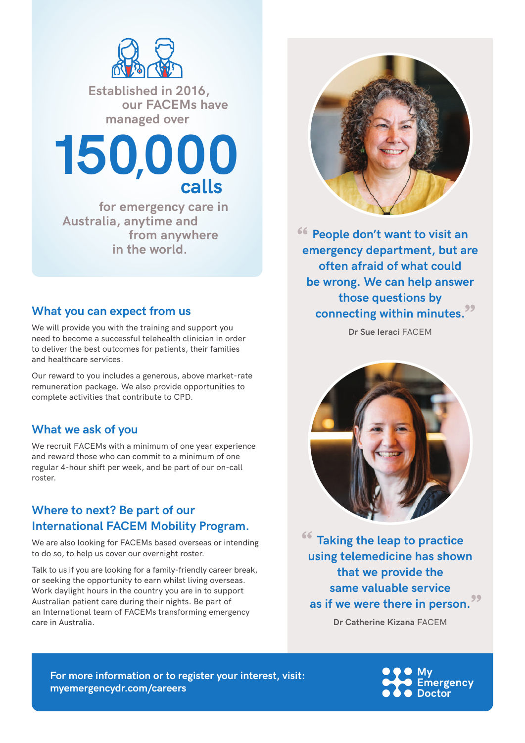

 **Established in 2016, our FACEMs have managed over** 



 **for emergency care in Australia, anytime and from anywhere in the world.**

#### **What you can expect from us**

We will provide you with the training and support you need to become a successful telehealth clinician in order to deliver the best outcomes for patients, their families and healthcare services.

Our reward to you includes a generous, above market-rate remuneration package. We also provide opportunities to complete activities that contribute to CPD.

#### **What we ask of you**

We recruit FACEMs with a minimum of one year experience and reward those who can commit to a minimum of one regular 4-hour shift per week, and be part of our on-call roster.

### **Where to next? Be part of our International FACEM Mobility Program.**

We are also looking for FACEMs based overseas or intending to do so, to help us cover our overnight roster.

Talk to us if you are looking for a family-friendly career break, or seeking the opportunity to earn whilst living overseas. Work daylight hours in the country you are in to support Australian patient care during their nights. Be part of an International team of FACEMs transforming emergency care in Australia.



**People don't want to visit an emergency department, but are often afraid of what could be wrong. We can help answer those questions by connecting within minutes.**

**Dr Sue Ieraci** FACEM



**Taking the leap to practice using telemedicine has shown that we provide the same valuable service as if we were there in person.**

**Dr Catherine Kizana** FACEM

**For more information or to register your interest, visit: myemergencydr.com/careers**

Emergency **Doctor**